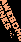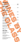| <b>SPARKLING</b><br>Miquel Pons Brut Reserva NV/ Cava<br>Etienne Dumont Brut NV / Champagne<br><b>ROSÉ WINE</b><br>Palm par l'Escarelle 2021 / Châteaux d'Escarelle<br>Caladoc, Cinsault, Grenache / Organic<br>Provence, France<br><b>WHITE WINE</b><br>Trovati Bianco 2021 / Mezzacorona<br>Grillo<br>Sicily, Italy | 110/495<br>145/870<br>110/495<br>100/445 |
|-----------------------------------------------------------------------------------------------------------------------------------------------------------------------------------------------------------------------------------------------------------------------------------------------------------------------|------------------------------------------|
|                                                                                                                                                                                                                                                                                                                       |                                          |
|                                                                                                                                                                                                                                                                                                                       |                                          |
|                                                                                                                                                                                                                                                                                                                       |                                          |
|                                                                                                                                                                                                                                                                                                                       |                                          |
|                                                                                                                                                                                                                                                                                                                       |                                          |
|                                                                                                                                                                                                                                                                                                                       |                                          |
|                                                                                                                                                                                                                                                                                                                       |                                          |
|                                                                                                                                                                                                                                                                                                                       |                                          |
|                                                                                                                                                                                                                                                                                                                       |                                          |
|                                                                                                                                                                                                                                                                                                                       |                                          |
|                                                                                                                                                                                                                                                                                                                       |                                          |
|                                                                                                                                                                                                                                                                                                                       |                                          |
|                                                                                                                                                                                                                                                                                                                       |                                          |
|                                                                                                                                                                                                                                                                                                                       |                                          |
| <b>Culinaria Collection 2018/ Leopard's Leap</b><br><b>Chenin Blanc</b>                                                                                                                                                                                                                                               | 115/515                                  |
| Western Cape, South Africa                                                                                                                                                                                                                                                                                            |                                          |
|                                                                                                                                                                                                                                                                                                                       |                                          |
| Catena 2020 / Bodega Catena Zapata                                                                                                                                                                                                                                                                                    | 120/540                                  |
| Chardonnay / Sustainable, Vegan<br>Mendoza, Argentina                                                                                                                                                                                                                                                                 |                                          |
|                                                                                                                                                                                                                                                                                                                       |                                          |
| Auxerrois Trois Châteaux 2018 / Kuentz-Bas                                                                                                                                                                                                                                                                            | 130/585                                  |
| Auxerrois / Organic                                                                                                                                                                                                                                                                                                   |                                          |
| Alsace, France                                                                                                                                                                                                                                                                                                        |                                          |
| Now Chardonnay 2019 / Paxton Wines                                                                                                                                                                                                                                                                                    | 140/630                                  |
| Chardonnay / Organic, Vegan                                                                                                                                                                                                                                                                                           |                                          |
| McLaren Vale, Australia                                                                                                                                                                                                                                                                                               |                                          |
| Walnut Collectables 2021 / Walnut Block Wines                                                                                                                                                                                                                                                                         | 150/675                                  |
| Sauvignon Blanc / Organic                                                                                                                                                                                                                                                                                             |                                          |
| Marlborough, New Zealand                                                                                                                                                                                                                                                                                              |                                          |
|                                                                                                                                                                                                                                                                                                                       | 150/675                                  |
| Watervale Riesling 2019 / Jim Barry<br>Riesling                                                                                                                                                                                                                                                                       |                                          |
| Clare Valley, Australia                                                                                                                                                                                                                                                                                               |                                          |
|                                                                                                                                                                                                                                                                                                                       |                                          |
| <b>RED WINE</b>                                                                                                                                                                                                                                                                                                       |                                          |
| Tilia 2020 / Bodega Catena Zapata                                                                                                                                                                                                                                                                                     | 100/445                                  |
| Malbec / Sustainable                                                                                                                                                                                                                                                                                                  |                                          |
| Mendoza, Argentina                                                                                                                                                                                                                                                                                                    |                                          |
| Llebre 2019 / Tomàs Cusiné                                                                                                                                                                                                                                                                                            | 120/540                                  |
| Tempranillo, Garnacha, Merlot, Cariñena                                                                                                                                                                                                                                                                               |                                          |
| Coster del Segre, Spain                                                                                                                                                                                                                                                                                               |                                          |
|                                                                                                                                                                                                                                                                                                                       |                                          |
| Gemtree Organic Shiraz 2021 / Gemtree wines<br>Shiraz / Biodynamic, Sustainable                                                                                                                                                                                                                                       | 120/540                                  |
| McLaren Vale, Australia                                                                                                                                                                                                                                                                                               |                                          |
|                                                                                                                                                                                                                                                                                                                       |                                          |
|                                                                                                                                                                                                                                                                                                                       |                                          |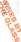| <b>Bridlewood 2019 / Bridlewood Estate</b><br>130/585<br>Pinot Noir<br>Monterey County, USA<br>Lohsa 2019 / Azienda Agricola Poliziano<br>130/585<br>Sangiovese, Ciliegiolo / Organic<br>Morellino di Scansano, Italy<br>Barbera D'Asti 2021 / Carlin di Paolo<br>140/630<br>Barbera / Sustainable<br>Asti, Piedmonte, Italy<br>Tolmer 2018 / Penley Estate<br>140/630<br>Cabernet Sauvignon / Vegan<br>Coonawarra, Australia<br>Petit Ours 2010 / Matthieu Barret<br>150/675<br>Syrah / Biodynamic<br>Côte du Rhône, France |  |  |
|------------------------------------------------------------------------------------------------------------------------------------------------------------------------------------------------------------------------------------------------------------------------------------------------------------------------------------------------------------------------------------------------------------------------------------------------------------------------------------------------------------------------------|--|--|
|                                                                                                                                                                                                                                                                                                                                                                                                                                                                                                                              |  |  |
|                                                                                                                                                                                                                                                                                                                                                                                                                                                                                                                              |  |  |
|                                                                                                                                                                                                                                                                                                                                                                                                                                                                                                                              |  |  |
|                                                                                                                                                                                                                                                                                                                                                                                                                                                                                                                              |  |  |
|                                                                                                                                                                                                                                                                                                                                                                                                                                                                                                                              |  |  |
|                                                                                                                                                                                                                                                                                                                                                                                                                                                                                                                              |  |  |
|                                                                                                                                                                                                                                                                                                                                                                                                                                                                                                                              |  |  |
|                                                                                                                                                                                                                                                                                                                                                                                                                                                                                                                              |  |  |
|                                                                                                                                                                                                                                                                                                                                                                                                                                                                                                                              |  |  |
|                                                                                                                                                                                                                                                                                                                                                                                                                                                                                                                              |  |  |
|                                                                                                                                                                                                                                                                                                                                                                                                                                                                                                                              |  |  |
|                                                                                                                                                                                                                                                                                                                                                                                                                                                                                                                              |  |  |
|                                                                                                                                                                                                                                                                                                                                                                                                                                                                                                                              |  |  |
|                                                                                                                                                                                                                                                                                                                                                                                                                                                                                                                              |  |  |
|                                                                                                                                                                                                                                                                                                                                                                                                                                                                                                                              |  |  |
|                                                                                                                                                                                                                                                                                                                                                                                                                                                                                                                              |  |  |
|                                                                                                                                                                                                                                                                                                                                                                                                                                                                                                                              |  |  |
|                                                                                                                                                                                                                                                                                                                                                                                                                                                                                                                              |  |  |
|                                                                                                                                                                                                                                                                                                                                                                                                                                                                                                                              |  |  |
|                                                                                                                                                                                                                                                                                                                                                                                                                                                                                                                              |  |  |
|                                                                                                                                                                                                                                                                                                                                                                                                                                                                                                                              |  |  |
|                                                                                                                                                                                                                                                                                                                                                                                                                                                                                                                              |  |  |
|                                                                                                                                                                                                                                                                                                                                                                                                                                                                                                                              |  |  |
|                                                                                                                                                                                                                                                                                                                                                                                                                                                                                                                              |  |  |
|                                                                                                                                                                                                                                                                                                                                                                                                                                                                                                                              |  |  |
|                                                                                                                                                                                                                                                                                                                                                                                                                                                                                                                              |  |  |
|                                                                                                                                                                                                                                                                                                                                                                                                                                                                                                                              |  |  |
|                                                                                                                                                                                                                                                                                                                                                                                                                                                                                                                              |  |  |
|                                                                                                                                                                                                                                                                                                                                                                                                                                                                                                                              |  |  |
|                                                                                                                                                                                                                                                                                                                                                                                                                                                                                                                              |  |  |
|                                                                                                                                                                                                                                                                                                                                                                                                                                                                                                                              |  |  |
|                                                                                                                                                                                                                                                                                                                                                                                                                                                                                                                              |  |  |
|                                                                                                                                                                                                                                                                                                                                                                                                                                                                                                                              |  |  |
|                                                                                                                                                                                                                                                                                                                                                                                                                                                                                                                              |  |  |
|                                                                                                                                                                                                                                                                                                                                                                                                                                                                                                                              |  |  |
|                                                                                                                                                                                                                                                                                                                                                                                                                                                                                                                              |  |  |
|                                                                                                                                                                                                                                                                                                                                                                                                                                                                                                                              |  |  |
|                                                                                                                                                                                                                                                                                                                                                                                                                                                                                                                              |  |  |
|                                                                                                                                                                                                                                                                                                                                                                                                                                                                                                                              |  |  |
|                                                                                                                                                                                                                                                                                                                                                                                                                                                                                                                              |  |  |
|                                                                                                                                                                                                                                                                                                                                                                                                                                                                                                                              |  |  |
|                                                                                                                                                                                                                                                                                                                                                                                                                                                                                                                              |  |  |
|                                                                                                                                                                                                                                                                                                                                                                                                                                                                                                                              |  |  |
|                                                                                                                                                                                                                                                                                                                                                                                                                                                                                                                              |  |  |
|                                                                                                                                                                                                                                                                                                                                                                                                                                                                                                                              |  |  |
|                                                                                                                                                                                                                                                                                                                                                                                                                                                                                                                              |  |  |
|                                                                                                                                                                                                                                                                                                                                                                                                                                                                                                                              |  |  |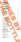| <b>SPARKLING</b>                                 |      |  |
|--------------------------------------------------|------|--|
| Miquel Pons Brut Reserva NV/ Cava                | 495  |  |
| Xarel-Lo, Macabeo, Parellada                     |      |  |
|                                                  |      |  |
| J. California Russian River Cuvée / USA          | 790  |  |
| <b>Chardonnay, Pinot Noir, Meunier</b>           |      |  |
| <b>CHAMPAGNE</b>                                 |      |  |
| André Jacquart Brut Experience NV                | 895  |  |
| Chardonnay                                       |      |  |
|                                                  |      |  |
| André Clouet Bouzy Grande Reserve NY             | 895  |  |
| <b>Pinot Noir</b>                                |      |  |
|                                                  |      |  |
| Piper Heidsieck Brut Experience NV               | 990  |  |
| Pinot Noir, Chardonnay                           |      |  |
| <b>Francis Orban Brut Reserve NV</b>             | 895  |  |
| Meunier                                          |      |  |
|                                                  |      |  |
| <b>Taittinger Brut Reserve NV</b>                | 1095 |  |
| Chardonnay, Pinot Noir, Meunier                  |      |  |
| Louis Roederer Collection 242 NV                 | 1250 |  |
| Chardonnay, Pinot Noir, Meunier                  |      |  |
|                                                  |      |  |
| <b>Philipponnat Royale Reserve Brut NV</b>       | 1250 |  |
| Pinot Noir, Chardonnay, Meunier                  |      |  |
| Charles Heidsieck Rosé NV                        | 1395 |  |
| Chardonnay, Pinot Noir, Meunier                  |      |  |
|                                                  |      |  |
| Perrier-Jouët Belle Epoque 2011                  | 3450 |  |
| Pinot Noir, Chardonnay, Meunier                  |      |  |
| Piper Heidsieck Rare Millesime 2011              | 3995 |  |
| Chardonnay, Pinot Noir                           |      |  |
|                                                  |      |  |
| <b>ROSÉ WINE</b>                                 |      |  |
|                                                  |      |  |
| Palm par l'Escarelle 2021 / Châteaux d'Escarelle | 515  |  |
| Caladoc, Cinsault, Grenache / Organic            |      |  |
| Provence, France                                 |      |  |
| La Brossette 2021 / Joel Delaunay                | 575  |  |
| Gamay / Organic                                  |      |  |
| AOPTouraine, Loire, France                       |      |  |
|                                                  |      |  |
| Langhe Rosato 2021 / Josetta Saffirio            | 595  |  |
| Nebbiolo / Organic, Vegan<br>Langhe, Italy       |      |  |
|                                                  |      |  |
|                                                  |      |  |
|                                                  |      |  |
|                                                  |      |  |
|                                                  |      |  |

WINES BY A REPORT OF BUILDING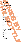# WHITE WINE

| <b>WHITE WINE</b>                                                                                  |     |  |
|----------------------------------------------------------------------------------------------------|-----|--|
| ARGENTINA                                                                                          |     |  |
| Catena Chardonnay 2020 / Bodega Catena Zapata<br>Chardonnay / Sustainable, Vegan                   | 585 |  |
| Mendoza<br><b>AUSTRALIA</b>                                                                        |     |  |
| Now Chardonnay 2019 / Paxton Wines<br>Chardonnay / Organic, Vegan                                  | 630 |  |
| <b>McLaren Vale</b>                                                                                |     |  |
| <b>Watervale Riesling 2019 / Jim Barry</b><br>Riesling<br>Clare Valley, Australia<br><b>FRANCE</b> | 675 |  |
| Picpoul de Pinet 2020 / Gérard Bertrand<br>Piquepoul / Organic                                     | 550 |  |
| Languedoc-Roussillon<br>Auxerrois Trois Châteaux 2018 / Kuentz-Bas<br>Auxerrois / Organic          | 585 |  |
| Alsace                                                                                             |     |  |
| Saint-Bris 2020 / Domaine des Marronnier<br>Sauvignon Blanc<br>Saint-Bris, Bourgogne               | 595 |  |
| Copains Copines 2019 / D. Mittnacht-Frères<br>Gentil, Alsace Blend / Biodynamic<br>Alsace          | 655 |  |
| Les Terres Blanches Apremont 2019 / D. Dupraz<br>Jacquère                                          | 695 |  |
| Savoie<br>Chablis 1er Cru Clos Vau Ligneau 2018/ Louis Moreau                                      | 850 |  |
| Chardonnay<br>Chablis, Bourgogne                                                                   |     |  |
| <b>GERMANY</b>                                                                                     |     |  |
| Riesling Kabinett 2021 / Kloster Eberbach<br>Riesling<br>Rheingau                                  | 495 |  |
| <b>ITALY</b>                                                                                       |     |  |
| Il Pometo Pinot Grigio 2019 / Lungarotti<br>Pinot Grigio / Sustainable                             | 425 |  |
| Umbria                                                                                             |     |  |
|                                                                                                    |     |  |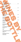| <b>NEW ZEALAND</b>                                                                        |     |
|-------------------------------------------------------------------------------------------|-----|
| Walnut Collectables 2021 / Walnut Block Wines                                             | 630 |
| Sauvignon Blanc / Organic                                                                 |     |
| Marlborough, New Zealand                                                                  |     |
| <b>SOUTH AFRICA</b>                                                                       |     |
|                                                                                           |     |
| Culinaria Collection 2018/ Leopard's Leap<br><b>Chenin Blanc</b>                          | 585 |
| <b>Western Cape</b>                                                                       |     |
|                                                                                           |     |
| Stark-Condé Field Blend 2020 / Stark-Condé<br>Roussanne, Chenin Blanc, Verdelho, Viognier | 650 |
| <b>Stellenbosh</b>                                                                        |     |
|                                                                                           |     |
| <b>SPAIN</b>                                                                              |     |
| Cueva Orange Natural 2018 / Bodegas Cueva                                                 | 595 |
| Tardana, Macabeo                                                                          |     |
| Utiel-Requena, Valencia                                                                   |     |
|                                                                                           |     |
| Lukka Albariño 2018 / Eulogia Gondar<br>Albariño                                          | 595 |
| Rias Baixas                                                                               |     |
|                                                                                           |     |
| Aretxaga Txakolina 2019 / B. Virgen de Lorea                                              | 595 |
| Hondarrabi Zuri, Folle Blanche<br>Bizkaiko Txakolina                                      |     |
|                                                                                           |     |
| <b>SWEDEN</b>                                                                             |     |
|                                                                                           |     |
| Gimme, Gimme, Gimme Riesling 2019 / Wine Mechanics<br>Riesling / Organic, Vegan           | 615 |
| Gothenburg                                                                                |     |
|                                                                                           |     |
| Common People Barbera 2020 / Wine Mechanics                                               | 650 |
| Barbera / Organic, Vegan<br>Gothenburg                                                    |     |
|                                                                                           |     |
| <b>USA</b>                                                                                |     |
| Presqu'île Chardonnay 2019 / Presqu'île Winery                                            | 850 |
| Chardonnay / Organic                                                                      |     |
| Santa Maria                                                                               |     |
|                                                                                           |     |
| Tyler Chardonnay 2016 / Tyler Winery                                                      | 895 |
| Chardonnay / Organic<br>Santa Barbara County                                              |     |
|                                                                                           |     |
|                                                                                           |     |
|                                                                                           |     |
|                                                                                           |     |
|                                                                                           |     |
|                                                                                           |     |
|                                                                                           |     |
|                                                                                           |     |
|                                                                                           |     |

WINES BY A REPORT OF THE REAL PROPERTY OF THE REAL PROPERTY OF THE REAL PROPERTY OF THE REAL PROPERTY OF THE REAL PROPERTY OF THE REAL PROPERTY OF THE REAL PROPERTY OF THE REAL PROPERTY OF THE REAL PROPERTY OF THE REAL PRO

THE BOTTLE SERVICE SERVICE SERVICE SERVICE SERVICE SERVICE SERVICE SERVICE SERVICE SERVICE SERVICE SERVICE SERVICE SERVICE SERVICE SERVICE SERVICE SERVICE SERVICE SERVICE SERVICE SERVICE SERVICE SERVICE SERVICE SERVICE SER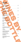## Red WINE

| <b>RED WINE</b>                                                                                               |     |  |
|---------------------------------------------------------------------------------------------------------------|-----|--|
| ARGENTINA                                                                                                     |     |  |
| Tilia 2020 / Bodega Catena Zapata<br>Malbec / Sustainable, Vegan                                              | 425 |  |
| Mendoza                                                                                                       |     |  |
| A Lisa Malbec 2019 / Bodega Noemia<br>Malbec, Merlot / Vegan<br>Patagonia                                     | 650 |  |
| <b>Chacayes 2015 / Francois Lurton</b><br>Malbec, C. Sauvignon / Organic, Vegan                               | 995 |  |
| Mendoza<br><b>AUSTRALIA</b>                                                                                   |     |  |
| Gemtree Organic Shiraz 2021 / Gemtree wines<br>Shiraz / Biodynamic, Sustainable                               | 585 |  |
| McLaren Vale                                                                                                  |     |  |
| Tolmer 2018 / Penley Estate<br>Cabernet Sauvignon / Vegan<br>Coonawarra                                       | 630 |  |
| Mother's Milk Barossa Shiraz / First Drop Wines<br>Shiraz                                                     | 750 |  |
| Barossa<br>Punt Road Gamay 2019 / Punt Road                                                                   | 750 |  |
| Gamay<br>Yarra Valley                                                                                         |     |  |
| <b>CHILE</b>                                                                                                  |     |  |
| Clos de Lolol 2018 / Francois Lurton<br>Syrah, Carmenère, C.Franc / Biodynamic, Vegan<br>Conchagua            | 695 |  |
| <b>FRANCE</b>                                                                                                 |     |  |
| Faugère 2020 / Château de la Liquière<br>Grenache, Syrah, Carignan / Organic<br>Faugère, Languedoc-Roussillon | 595 |  |
| Petit Ours 2020 / Matthieu Barret<br>Syrah / Biodynamic<br>Côte du Rhône, France                              | 675 |  |
| Bourgogne Rouge 2020 / Joseph Drouhin<br>Pinot Noir / Biodynamic<br>Bourgogne                                 | 750 |  |
|                                                                                                               |     |  |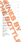| Syrah<br>Cornas, Rhône<br>Savigny-Lès-Beaune Village 2016 / Henri Villamont<br>895<br><b>Pinot Noir</b><br>Bourgogne<br>Echezeaux Grand Cru 2012 / Henri Delamont<br>1780<br><b>Pinot Noir</b><br>Les Echezeaux, Bourgogne<br><b>ITALY</b><br>Lohsa 2019 / Azienda Agricola Poliziano<br>585<br>Sangiovese, Ciliegiolo / Organic<br>Morellino di Scansano<br>Barbera D'Asti 2021 / Carli di Paolo<br>630<br>Barbera / Sustainable<br>Asti, Piedmonte<br>Barbera D'Alba DOC Superiore / Castello Di Neive<br>795<br>Barbera<br>Piemonte<br>Lucente 2018 / Tenuta Luce della Vite<br>795<br>Merlot, Sangiovese<br>Toscana<br>Amarone della Valpolicella 2016 / Le Ville de Antenè<br>850<br>Corvina, Corvinone, Rondinella<br>Valpolicella, Veneto<br>Radici Taurasi 2016 / Mastroberardino<br>950<br>Aglianico / Organic, Vegan<br>Campania<br>Josetta Saffirio Barolo 2017 / Josetta Saffirio<br>Nebbiolo<br>Monteforte d'Alba, Barolo<br>Luce 2017 / Luce della Vite<br>1650<br>Merlot, Sangiovese<br>Toscana<br><b>NEW ZEALAND</b><br>Rocky Point P.Noir 2020 / Prophet's Rock<br>995<br>Pinot Noir | Cornas Empreintes 2017 / D.Erik, J.Durand | 795 |
|-------------------------------------------------------------------------------------------------------------------------------------------------------------------------------------------------------------------------------------------------------------------------------------------------------------------------------------------------------------------------------------------------------------------------------------------------------------------------------------------------------------------------------------------------------------------------------------------------------------------------------------------------------------------------------------------------------------------------------------------------------------------------------------------------------------------------------------------------------------------------------------------------------------------------------------------------------------------------------------------------------------------------------------------------------------------------------------------------------|-------------------------------------------|-----|
|                                                                                                                                                                                                                                                                                                                                                                                                                                                                                                                                                                                                                                                                                                                                                                                                                                                                                                                                                                                                                                                                                                       |                                           |     |
|                                                                                                                                                                                                                                                                                                                                                                                                                                                                                                                                                                                                                                                                                                                                                                                                                                                                                                                                                                                                                                                                                                       |                                           |     |
|                                                                                                                                                                                                                                                                                                                                                                                                                                                                                                                                                                                                                                                                                                                                                                                                                                                                                                                                                                                                                                                                                                       |                                           |     |
|                                                                                                                                                                                                                                                                                                                                                                                                                                                                                                                                                                                                                                                                                                                                                                                                                                                                                                                                                                                                                                                                                                       |                                           |     |
|                                                                                                                                                                                                                                                                                                                                                                                                                                                                                                                                                                                                                                                                                                                                                                                                                                                                                                                                                                                                                                                                                                       |                                           |     |
|                                                                                                                                                                                                                                                                                                                                                                                                                                                                                                                                                                                                                                                                                                                                                                                                                                                                                                                                                                                                                                                                                                       |                                           |     |
|                                                                                                                                                                                                                                                                                                                                                                                                                                                                                                                                                                                                                                                                                                                                                                                                                                                                                                                                                                                                                                                                                                       |                                           |     |
|                                                                                                                                                                                                                                                                                                                                                                                                                                                                                                                                                                                                                                                                                                                                                                                                                                                                                                                                                                                                                                                                                                       |                                           |     |
|                                                                                                                                                                                                                                                                                                                                                                                                                                                                                                                                                                                                                                                                                                                                                                                                                                                                                                                                                                                                                                                                                                       |                                           |     |
|                                                                                                                                                                                                                                                                                                                                                                                                                                                                                                                                                                                                                                                                                                                                                                                                                                                                                                                                                                                                                                                                                                       |                                           |     |
|                                                                                                                                                                                                                                                                                                                                                                                                                                                                                                                                                                                                                                                                                                                                                                                                                                                                                                                                                                                                                                                                                                       |                                           |     |
|                                                                                                                                                                                                                                                                                                                                                                                                                                                                                                                                                                                                                                                                                                                                                                                                                                                                                                                                                                                                                                                                                                       |                                           |     |
|                                                                                                                                                                                                                                                                                                                                                                                                                                                                                                                                                                                                                                                                                                                                                                                                                                                                                                                                                                                                                                                                                                       |                                           |     |
|                                                                                                                                                                                                                                                                                                                                                                                                                                                                                                                                                                                                                                                                                                                                                                                                                                                                                                                                                                                                                                                                                                       |                                           |     |
|                                                                                                                                                                                                                                                                                                                                                                                                                                                                                                                                                                                                                                                                                                                                                                                                                                                                                                                                                                                                                                                                                                       |                                           |     |
|                                                                                                                                                                                                                                                                                                                                                                                                                                                                                                                                                                                                                                                                                                                                                                                                                                                                                                                                                                                                                                                                                                       |                                           |     |
|                                                                                                                                                                                                                                                                                                                                                                                                                                                                                                                                                                                                                                                                                                                                                                                                                                                                                                                                                                                                                                                                                                       |                                           |     |
|                                                                                                                                                                                                                                                                                                                                                                                                                                                                                                                                                                                                                                                                                                                                                                                                                                                                                                                                                                                                                                                                                                       |                                           |     |
|                                                                                                                                                                                                                                                                                                                                                                                                                                                                                                                                                                                                                                                                                                                                                                                                                                                                                                                                                                                                                                                                                                       |                                           |     |
|                                                                                                                                                                                                                                                                                                                                                                                                                                                                                                                                                                                                                                                                                                                                                                                                                                                                                                                                                                                                                                                                                                       |                                           |     |
|                                                                                                                                                                                                                                                                                                                                                                                                                                                                                                                                                                                                                                                                                                                                                                                                                                                                                                                                                                                                                                                                                                       |                                           |     |
|                                                                                                                                                                                                                                                                                                                                                                                                                                                                                                                                                                                                                                                                                                                                                                                                                                                                                                                                                                                                                                                                                                       |                                           |     |
|                                                                                                                                                                                                                                                                                                                                                                                                                                                                                                                                                                                                                                                                                                                                                                                                                                                                                                                                                                                                                                                                                                       |                                           |     |
|                                                                                                                                                                                                                                                                                                                                                                                                                                                                                                                                                                                                                                                                                                                                                                                                                                                                                                                                                                                                                                                                                                       |                                           |     |
|                                                                                                                                                                                                                                                                                                                                                                                                                                                                                                                                                                                                                                                                                                                                                                                                                                                                                                                                                                                                                                                                                                       |                                           |     |
|                                                                                                                                                                                                                                                                                                                                                                                                                                                                                                                                                                                                                                                                                                                                                                                                                                                                                                                                                                                                                                                                                                       |                                           |     |
|                                                                                                                                                                                                                                                                                                                                                                                                                                                                                                                                                                                                                                                                                                                                                                                                                                                                                                                                                                                                                                                                                                       |                                           |     |
|                                                                                                                                                                                                                                                                                                                                                                                                                                                                                                                                                                                                                                                                                                                                                                                                                                                                                                                                                                                                                                                                                                       |                                           |     |
|                                                                                                                                                                                                                                                                                                                                                                                                                                                                                                                                                                                                                                                                                                                                                                                                                                                                                                                                                                                                                                                                                                       |                                           | 950 |
|                                                                                                                                                                                                                                                                                                                                                                                                                                                                                                                                                                                                                                                                                                                                                                                                                                                                                                                                                                                                                                                                                                       |                                           |     |
|                                                                                                                                                                                                                                                                                                                                                                                                                                                                                                                                                                                                                                                                                                                                                                                                                                                                                                                                                                                                                                                                                                       |                                           |     |
|                                                                                                                                                                                                                                                                                                                                                                                                                                                                                                                                                                                                                                                                                                                                                                                                                                                                                                                                                                                                                                                                                                       |                                           |     |
|                                                                                                                                                                                                                                                                                                                                                                                                                                                                                                                                                                                                                                                                                                                                                                                                                                                                                                                                                                                                                                                                                                       |                                           |     |
|                                                                                                                                                                                                                                                                                                                                                                                                                                                                                                                                                                                                                                                                                                                                                                                                                                                                                                                                                                                                                                                                                                       |                                           |     |
|                                                                                                                                                                                                                                                                                                                                                                                                                                                                                                                                                                                                                                                                                                                                                                                                                                                                                                                                                                                                                                                                                                       |                                           |     |
|                                                                                                                                                                                                                                                                                                                                                                                                                                                                                                                                                                                                                                                                                                                                                                                                                                                                                                                                                                                                                                                                                                       |                                           |     |
|                                                                                                                                                                                                                                                                                                                                                                                                                                                                                                                                                                                                                                                                                                                                                                                                                                                                                                                                                                                                                                                                                                       |                                           |     |
|                                                                                                                                                                                                                                                                                                                                                                                                                                                                                                                                                                                                                                                                                                                                                                                                                                                                                                                                                                                                                                                                                                       |                                           |     |
|                                                                                                                                                                                                                                                                                                                                                                                                                                                                                                                                                                                                                                                                                                                                                                                                                                                                                                                                                                                                                                                                                                       | Central Otago                             |     |
|                                                                                                                                                                                                                                                                                                                                                                                                                                                                                                                                                                                                                                                                                                                                                                                                                                                                                                                                                                                                                                                                                                       |                                           |     |
|                                                                                                                                                                                                                                                                                                                                                                                                                                                                                                                                                                                                                                                                                                                                                                                                                                                                                                                                                                                                                                                                                                       |                                           |     |
|                                                                                                                                                                                                                                                                                                                                                                                                                                                                                                                                                                                                                                                                                                                                                                                                                                                                                                                                                                                                                                                                                                       |                                           |     |
|                                                                                                                                                                                                                                                                                                                                                                                                                                                                                                                                                                                                                                                                                                                                                                                                                                                                                                                                                                                                                                                                                                       |                                           |     |
|                                                                                                                                                                                                                                                                                                                                                                                                                                                                                                                                                                                                                                                                                                                                                                                                                                                                                                                                                                                                                                                                                                       |                                           |     |

WINES BY A REPORT OF THE REAL PROPERTY OF THE REAL PROPERTY OF THE REAL PROPERTY OF THE REAL PROPERTY OF THE REAL PROPERTY OF THE REAL PROPERTY OF THE REAL PROPERTY OF THE REAL PROPERTY OF THE REAL PROPERTY OF THE REAL PRO

THE BOTTLE SERVICE SERVICE SERVICE SERVICE SERVICE SERVICE SERVICE SERVICE SERVICE SERVICE SERVICE SERVICE SERVICE SERVICE SERVICE SERVICE SERVICE SERVICE SERVICE SERVICE SERVICE SERVICE SERVICE SERVICE SERVICE SERVICE SER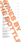### **SPAIN**

| <b>SPAIN</b>                                                                          |     |
|---------------------------------------------------------------------------------------|-----|
| Llebre 2019 / Tomàs Cusiné                                                            | 550 |
| Tempranillo, Garnacha, Merlot, Cariñena                                               |     |
| Coster del Segre                                                                      |     |
| Honoro Vera Monastrell 2010 / Juan Gil                                                | 520 |
| Monastrell / Organic, Vegan                                                           |     |
| Jumilla                                                                               |     |
| Izadi Reserva 2019 / Bodegas Izadi                                                    | 585 |
| Tempranillo                                                                           |     |
| Rioja                                                                                 |     |
| Martin Freixa Samsó 2017 / Martin Freixa                                              | 650 |
| Cariñena                                                                              |     |
| <b>Montsant</b>                                                                       |     |
| Peña El Gato Garnacha 2010 / J.C.Sancha                                               | 750 |
| Garnacha / Organic                                                                    |     |
| Rioja                                                                                 |     |
| Finca Villacreces 2018 / Finca Villacreces                                            | 850 |
| Tempranillo, C.Sauvignon, Merlot                                                      |     |
| Ribeira del Duero                                                                     |     |
| SOUTH AFRICA                                                                          |     |
|                                                                                       |     |
| Glenelly Collection 2019 / Glenelly Estate<br>Cabernet Sauvignon                      | 575 |
| Stellenbosch                                                                          |     |
|                                                                                       |     |
| The Butcher and the Cleaver 2018 / Old Road W.C<br>Shiraz, Pinotage, Mourvedre        | 695 |
| <b>Coastal Region</b>                                                                 |     |
|                                                                                       |     |
| USA                                                                                   |     |
| Bridlewood 2019 / Bridlewood Estate                                                   | 585 |
| Pinot Noir                                                                            |     |
| Monterey County, California                                                           |     |
| Stokes' Ghost 2015 / Scheid Vineyards                                                 | 600 |
| Petite Sirah / Sustainable                                                            |     |
| Monterey County, California                                                           |     |
|                                                                                       |     |
| Ghost Pines 2018 / Gallo FVineyards<br>Zinfandel, Petite Sirah                        | 625 |
| San Joaquin County, California                                                        |     |
|                                                                                       |     |
| Seghesio Zinfandel 2019 / Seghesio<br>Zinfandel, Petite Sirah, Carignan / Sustainable | 750 |
| Sonoma County, California                                                             |     |
|                                                                                       |     |
|                                                                                       |     |
|                                                                                       |     |
|                                                                                       |     |
|                                                                                       |     |
|                                                                                       |     |